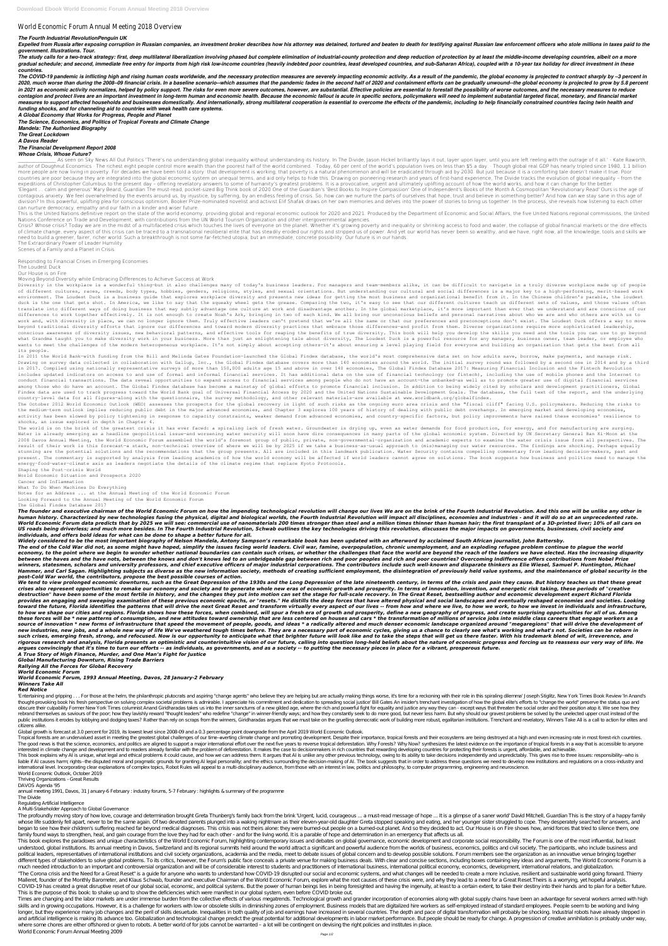## World Economic Forum Annual Meeting 2018 Overview

## *The Fourth Industrial RevolutionPenguin UK*

Expelled from Russia after exposing corruption in Russian companies, an investment broker describes how his attorney was detained, tortured and beaten to death for testifying against Russian law enforcement officers who st *government. Illustrations. Tour.*

The study calls for a two-track strategy: first, deep multilateral liberalization involving phased but complete elimination of industrial-county protection and deep reduction of protection by at least the middle-income dev gradual schedule; and second, immediate free entry for imports from high risk low-income countries (heavily indebted poor countries, least developed countries, and sub-Saharan Africa), coupled with a 10-vear tax holiday fo *countries.*

The COVID-19 pandemic is inflicting high and rising human costs worldwide, and the necessary protection measures are severely impacting economic activity. As a result of the pandemic, the global economy is projected to con 2020, much worse than during the 2008–09 financial crisis. In a baseline scenario--which assumes that the pandemic fades in the second half of 2020 and containment efforts can be gradually unwound--the global economy is pr in 2021 as economic activity normalizes, helped by policy support. The risks for even more severe outcomes, however, are substantial. Effective policies are essential to forestall the possibility of worse outcomes, and the contagion and protect lives are an important investment in long-term human and economic health. Because the economic fallout is acute in specific sectors, policymakers will need to implement substantial targeted fiscal, mo measures to support affected households and businesses domestically. And internationally, strong multilateral cooperation is essential to overcome the effects of the pandemic, including to help financially constrained coun *funding shocks, and for channeling aid to countries with weak health care systems.*

*A Global Economy that Works for Progress, People and Planet*

As seen on Sky News All Out Politics 'There's no understanding global inequality without understanding its history. In The Divide, Jason Hickel brilliantly lays it out, layer upon layer, until you are left reeling with the author of Doughnut Economics · The richest eight people control more wealth than the poorest half of the world combined. · Today, 60 per cent of the world's population lives on less than \$5 a day. · Though global real GDP more people are now living in poverty. For decades we have been told a story: that development is working, that poverty is a natural phenomenon and will be eradicated through aid by 2030. But just because it is a comfortin countries are poor because they are integrated into the global economic system on unequal terms, and aid only helps to hide this. Drawing on pioneering research and years of first-hand experience, The Divide tracks the evo expeditions of Christopher Columbus to the present day – offering revelatory answers to some of humanity's greatest problems. It is a provocative, urgent and ultimately uplifting account of how the world works, and how it 'Elegant ... calm and generous' Mary Beard, Guardian The must-read, pocket-sized Big Think book of 2020 One of the Guardian's 'Best Books to Inspire Compassion' One of Independent's Books of the Month A Cosmopolitan 'Revol contagious anxiety. We feel overwhelmed by the events around us, by injustice, by suffering, by an endless feeling of crisis. So, how can we nurture the parts of ourselves that hope, trust and believe in something better? division? In this powerful, uplifting plea for conscious optimism, Booker Prize-nominated novelist and activist Elif Shafak draws on her own memories and delves into the power of stories to bring us together. In the proces can nurture democracy, empathy and our faith in a kinder and wiser future.

*The Science, Economics, and Politics of Tropical Forests and Climate Change*

*Mandela: The Authorised Biography*

*The Great Lockdown A Davos Reader The Financial Development Report 2008*

## *Whose Crisis, Whose Future?*

This is the United Nations definitive report on the state of the world economy, providing global and regional economic outlook for 2020 and 2021. Produced by the Department of Economic and Social Affairs, the five United N Nations Conference on Trade and Development, with contributions from the UN World Tourism Organization and other intergovernmental agencies.

Crisis? Whose crisis? Today we are in the midst of a multifaceted crisis which touches the lives of everyone on the planet. Whether it's growing poverty and inequality or shrinking access to food and water, the collapse of of climate change, every aspect of this crisis can be traced to a transnational neoliberal elite that has steadily eroded our rights and stripped us of power. And yet our world has never been so wealthy, and we have, right need to build a greener, fairer, richer world. Such a breakthrough is not some far-fetched utopia, but an immediate, concrete possibility. Our future is in our hands.

Diversity in the workplace is a wonderful thing-but it also challenges many of today's business leaders. For managers and team-members alike, it can be difficult to navigate in a truly diverse workplace made up of people of different cultures, races, creeds, body types, hobbies, genders, religions, styles, and sexual orientations. But understanding our cultural and social differences is a major key to a high-performing, merit-based work environment. The Loudest Duck is a business guide that explores workplace diversity and presents new ideas for getting the most business and organizational benefit from it. In the Chinese children's parable, the loudest duck is the one that gets shot. In America, we like to say that the squeaky wheel gets the grease. Comparing the two, it's easy to see that our different cultures teach us different sets of values, and those values often translate into different ways of doing business that may subtly advantage one culture at work and disadvantage another. In the global marketplace, it's more important than ever that we understand and are conscious of our differences to work together effectively. It is not enough to create Noah's Ark, bringing in two of each kind. We all bring our unconscious beliefs and personal narratives about who we are and who others are with us to work and, with diversity in place, we can no longer ignore them. Truly effective leaders can't pretend that we're all the same or that our preferences and preconceptions don't exist. The Loudest Duck offers a way to move beyond traditional diversity efforts that ignore our differences and toward modern diversity practices that embrace those differences—and profit from them. Diverse organizations require more sophisticated leadership, conscious awareness of diversity issues, new behavioral patterns, and effective tools for reaping the benefits of true diversity. This book will help you develop the skills you need and the tools you can use to go beyond what Grandma taught you to make diversity work in your business. More than just an enlightening tale about diversity, The Loudest Duck is a powerful resource for any manager, business owner, team leader, or employee who wants to meet the challenges of the modern heterogeneous workplace. It's not simply about accepting others-it's about ensuring a level playing field for everyone and building an organization that gets the best from all its people.

In 2011 the World Bank-with funding from the Bill and Melinda Gates Foundation-launched the Global Findex database, the world's most comprehensive data set on how adults save, borrow, make payments, and manage risk. Drawing on survey data collected in collaboration with Gallup, Inc., the Global Findex database covers more than 140 economies around the world. The initial survey round was followed by a second one in 2014 and by a third in 2017. Compiled using nationally representative surveys of more than 150,000 adults age 15 and above in over 140 economies, The Global Findex Database 2017: Measuring Financial Inclusion and the Fintech Revolution includes updated indicators on access to and use of formal and informal financial services. It has additional data on the use of financial technology (or fintech), including the use of mobile phones and the Internet to conduct financial transactions. The data reveal opportunities to expand access to financial services among people who do not have an account—the unbanked—as well as to promote greater use of digital financial services among those who do have an account. The Global Findex database has become a mainstay of global efforts to promote financial inclusion. In addition to being widely cited by scholars and development practitioners, Global Findex data are used to track progress toward the World Bank goal of Universal Financial Access by 2020 and the United Nations Sustainable Development Goals. The database, the full text of the report, and the underlying country-level data for all figures-along with the questionnaire, the survey methodology, and other relevant materials-are available at www.worldbank.org/globalfindex.

The Extraordinary Power of Leader Humility Scenes of a Family and a Planet in Crisis

Responding to Financial Crises in Emerging Economies

The Loudest Duck

Our House is on Fire

Moving Beyond Diversity while Embracing Differences to Achieve Success at Work

The world is on the brink of the greatest crisis it has ever faced: a spiraling lack of fresh water. Groundwater is drying up, even as water demands for food production, for energy, and for manufacturing are surging. Water is already emerging as a headline geopolitical issue—and worsening water security will soon have dire consequences in many parts of the global economic system. Directed by UN Secretary General Ban Ki-Moon at the 2008 Davos Annual Meeting, the World Economic Forum assembled the world's foremost group of public, private, non-governmental-organization and academic experts to examine the water crisis issue from all perspectives. The result of their work is this forecast-a stark, non-technical overview of where we will be by 2025 if we take a business-as-usual approach to (mis)managing our water resources. The findings are shocking. Perhaps equally stunning are the potential solutions and the recommendations that the group presents. All are included in this landmark publication. Water Security contains compelling commentary from leading decision-makers, past and present. The commentary is supported by analysis from leading academics of how the world economy will be affected if world leaders cannot agree on solutions. The book suggests how business and politics need to manage the energy-food-water-climate axis as leaders negotiate the details of the climate regime that replace Kyoto Protocols.

The founder and executive chairman of the World Economic Forum on how the impending technological revolution will change our lives We are on the brink of the Fourth Industrial Revolution. And this one will be unlike any ot human history. Characterized by new technologies fusing the physical, digital and biological worlds, the Fourth Industrial Revolution will impact all disciplines, economies and industries - and it will do so at an unpreced World Economic Forum data predicts that by 2025 we will see: commercial use of nanomaterials 200 times stronger than steel and a million times thinner than human hair; the first transplant of a 3D-printed liver; 10% of all US roads being driverless; and much more besides. In The Fourth Industrial Revolution, Schwab outlines the key technologies driving this revolution, discusses the major impacts on governments, businesses, civil society and *individuals, and offers bold ideas for what can be done to shape a better future for all.*

We tend to view prolonged economic downturns, such as the Great Depression of the 1930s and the Long Depression of the late nineteenth century, in terms of the crisis and pain they cause. But history teaches us that these crises also represent opportunities to remake our economy and society and to generate whole new eras of economic growth and prosperity. In terms of innovation, invention, and energetic risk taking, these periods of "creati destruction" have been some of the most fertile in history, and the changes they put into motion can set the stage for full-scale recovery. In The Great Reset, bestselling author and economic development expert Richard Flo provides an engaging and sweeping examination of these previous economic epochs, or "resets." He distills the deep forces that have altered physical and social landscapes and eventually reshaped economies and societies. Lo toward the future, Florida identifies the patterns that will drive the next Great Reset and transform virtually every aspect of our lives -- from how and where we live, to how we work, to how we invest in individuals and i to how we shape our cities and regions. Florida shows how these forces, when combined, will spur a fresh era of growth and prosperity, define a new geography of progress, and create surprising opportunities for all of us. these forces will be \* new patterns of consumption, and new attitudes toward ownership that are less centered on houses and cars \* the transformation of millions of service jobs into middle class careers that engage worker source of innovation \* new forms of infrastructure that speed the movement of people, goods, and ideas \* a radically altered and much denser economic landscape organized around "megaregions" that will drive the development new industries, new jobs, and a whole new way of life We've weathered tough times before. They are a necessary part of economic cycles, giving us a chance to clearly see what's working and what's not. Societies can be rebo such crises, emerging fresh, strong, and refocused. Now is our opportunity to anticipate what that brighter future will look like and to take the steps that will get us there faster. With his trademark blend of wit, irreve rigorous research and analysis. Florida presents an optimistic and counterintuitive vision of our future, calling into question long-held beliefs about the nature of economic progress and forcing us to reassess our very wa *argues convincingly that it's time to turn our efforts -- as individuals, as governments, and as a society -- to putting the necessary pieces in place for a vibrant, prosperous future.*

The October 2012 World Economic Outlook (WEO) assesses the prospects for the global recovery in light of such risks as the ongoing euro area crisis and the "fiscal cliff" facing U.S. policymakers. Reducing the risks to the medium-term outlook implies reducing public debt in the major advanced economies, and Chapter 3 explores 100 years of history of dealing with public debt overhangs. In emerging market and developing economies, activity has been slowed by policy tightening in response to capacity constraints, weaker demand from advanced economies, and country-specific factors, but policy improvements have raised these economies' resilience to shocks, an issue explored in depth in Chapter 4.

Shaping the Post-crisis World World Economic Situation and Prospects 2020 Cancer and Inflammation What To Do When Machines Do Everything Notes for an Address ... at the Annual Meeting of the World Economic Forum Looking Forward to the Annual Meeting of the World Economic Forum The Global Findex Database 2017

'Entertaining and gripping . . . For those at the helm, the philanthropic plutocrats and aspiring "change agents" who believe they are helping but are actually making things worse, it's time for a reckoning with their role thought-provoking book his fresh perspective on solving complex societal problems is admirable. I appreciate his commitment and dedication to spreading social justice' Bill Gates An insider's trenchant investigation of how obscure their culpability Former New York Times columnist A nand Giridharadas takes us into the inner sanctums of a new gilded age, where the rich and powerful fight for equality and justice any way they can - except ways rebrand themselves as saviours of the poor; how they lavishly reward "thought leaders" who redefine "change" in winner-friendly ways; and how they constantly seek to do more good, but never less harm. But why should our gr public institutions iterodes by lobbying and dodging taxes? Rather than rely on scraps from the winners, Giridharadas argues that we must take on the gruelling democratic work of building more robust, egalitarian instituti citizens alike. Global growth is forecast at 3.0 percent for 2019, its lowest level since 2008-09 and a 0.3 percentage point downgrade from the April 2019 World Economic Outlook. Tropical forests are an undervalued asset in meeting the greatest global challenges of our time-averting climate change and promoting development. Despite their importance, tropical forests and their ecosystems are being d The good news is that the science, economics, and politics are aligned to support a major international effort over the next five years to reverse tropical deforestation. Why Forests? Why Now? synthesizes the latest eviden interested in climate change and development and to readers already familiar with the problem of deforestation. It makes the case to decisionmakers in rich countries that rewarding developing countries for protecting their This book explains why AI is unique, what legal and ethical problems it could cause, and how we can address them. It arques that AI is unlike any other previous technology, owing to its ability to take decisions independen liable if AI causes harm; rights--the disputed moral and pragmatic grounds for granting AI legal personality; and the ethics surrounding the decision-making of AI. The book suggests that in order to address these questions international level. Incorporating clear explanations of complex topics, Robot Rules will appeal to a multi-disciplinary audience, from those with an interest in law, politics and philosophy, to computer programming, engin World Economic Outlook, October 2019 Thriving Organizations – Great Results DAVOS Agenda '95 annual meeting 1991, Davos, 31 January-6 February : industry forums, 5-7 February : highlights & summary of the programme The Divide Regulating Artificial Intelligence A Multi-Stakeholder Approach to Global Governance The profoundly moving story of how love, courage and determination brought Greta Thunberg's family back from the brink 'Urgent, lucid, courageous ... a must-read message of hope ... It is a glimpse of a saner world' David whose life suddenly fell apart, never to be the same again. Of two devoted parents plunged into a waking nightmare as their eleven-year-old daughter Greta stopped speaking and eating, and her younger sister struggled to co began to see how their children's suffering reached far beyond medical diagnoses. This crisis was not theirs alone: they were burned-out people on a burned-out planet And so they decided to act Our House is on Fire shows h family found ways to strengthen, heal, and gain courage from the love they had for each other - and for the living world. It is a parable of hope and determination in an emergency that affects us all. This book explores the paradoxes and unique characteristics of the World Economic Forum, highlighting contemporary issues and debates on global governance, economic development and corporate social responsibility. The Foru understood, global institutions. Its annual meeting in Davos, Switzerland and its regional summits held around the world attract a significant and powerful audience from the worlds of business, economics, politics and civi political leaders, representatives of international institutions and civil society organizations, academia and the media, meet to debate issues of global concern and to develop possible solutions. Forum members see the org different types of stakeholders to solve global problems. To its critics, however, the Forum's public face conceals a private venue for making business deals. With clear and concise sections, including boxes containing key much needed introduction to an important and controversial organization and will be of considerable interest to students and practitioners of international business, international political economy, economics, development, "The Corona crisis and the Need for a Great Reset" is a quide for anyone who wants to understand how COVID-19 disrupted our social and economic systems, and what changes will be needed to create a more inclusive, resilient Malleret, founder of the Monthly Barometer, and Klaus Schwab, founder and executive Chairman of the World Economic Forum, explore what the root causes of these crisis were, and why they lead to a need for a Great Reset The COVID-19 has created a great disruptive reset of our global social, economic, and political systems. But the power of human beings lies in being foresighted and having the ingenuity, at least to a certain extent, to take t This is the purpose of this book: to shake up and to show the deficiencies which were manifest in our global system, even before COVID broke out. Times are changing and the labor markets are under immense burden from the collective effects of various megatrends. Technological growth and grander incorporation of economies along with global supply chains have been an skills and in growing occupations. However, it is a challenge for workers with low or obsolete skills in diminishing zones of employment. Business models that are digitalized hire workers as self-employed instead of standa longer, but they experience many job changes and the peril of skills desuetude. Inequalities in both quality of job and earnings have increased in several countries. The depth and pace of digital transformation will probab and artificial intelligence is making its advance too. Globalization and technological change predict the great potential for additional developments in labor market performance. But people should be ready for change. A pr where some chores are either offshored or given to robots. A better world of for jobs cannot be warranted - a lot will be contingent on devising the right policies and institutes in place. World Economic Forum Annual Meeting 2009

*Widely considered to be the most important biography of Nelson Mandela, Antony Sampson's remarkable book has been updated with an afterword by acclaimed South African journalist, John Battersby.* The end of the Cold War did not, as some might have hoped, simplify the issues facing world leaders. Civil war, famine, overpopulation, chronic unemployment, and an exploding refugee problem continue to plague the world economy, to the point where we begin to wonder whether national boundaries can contain such crises, or whether the challenges that face the world are beyond the reach of the leaders we have elected. Has the increasing disp between the haves and the have nots, between the knows and don't knows led to an unbridgeable gap between rich and poor peoples and rich and poor countries? Overcoming Indifference offers contributions from Nobel Prize winners, statesmen, scholars and university professors, and chief executive officers of major industrial corporations. The contributors include such well-known and disparate thinkers as Elie Wiesel, Samuel P. Huntington, M Hammer, and Carl Sagan. Highlighting subjects as diverse as the new information society, methods of creating sufficient employment, the disintegration of previously held value systems, and the maintenance of global securit *post-Cold War world, the contributors, propose the best possible courses of action.*

*A True Story of High Finance, Murder, and One Man's Fight for Justice Global Manufacturing Downturn, Rising Trade Barriers Rallying All the Forces for Global Recovery World Economic Forum World Economic Forum, 1993 Annual Meeting, Davos, 28 January-2 February Winners Take All Red Notice*